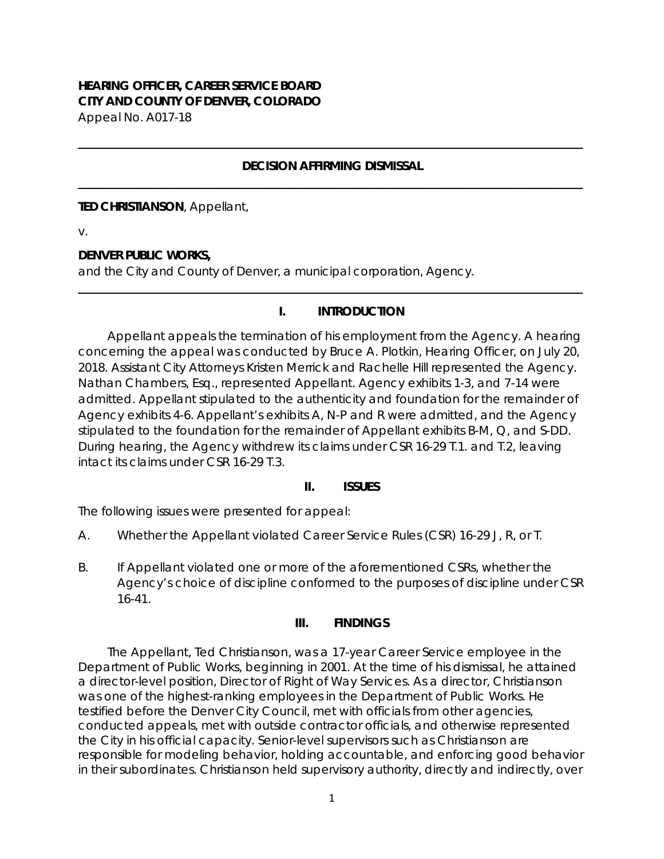# **HEARING OFFICER, CAREER SERVICE BOARD CITY AND COUNTY OF DENVER, COLORADO**

Appeal No. A017-18

#### **DECISION AFFIRMING DISMISSAL \_\_\_\_\_\_\_\_\_\_\_\_\_\_\_\_\_\_\_\_\_\_\_\_\_\_\_\_\_\_\_\_\_\_\_\_\_\_\_\_\_\_\_\_\_\_\_\_\_\_\_\_\_\_\_\_\_\_\_\_\_\_\_\_\_\_\_\_\_\_\_\_\_\_\_\_\_\_\_\_\_\_\_\_\_\_\_**

**\_\_\_\_\_\_\_\_\_\_\_\_\_\_\_\_\_\_\_\_\_\_\_\_\_\_\_\_\_\_\_\_\_\_\_\_\_\_\_\_\_\_\_\_\_\_\_\_\_\_\_\_\_\_\_\_\_\_\_\_\_\_\_\_\_\_\_\_\_\_\_\_\_\_\_\_\_\_\_\_\_\_\_\_\_\_\_**

#### **TED CHRISTIANSON**, Appellant,

v.

### **DENVER PUBLIC WORKS,**

and the City and County of Denver, a municipal corporation, Agency.

# **I. INTRODUCTION**

**\_\_\_\_\_\_\_\_\_\_\_\_\_\_\_\_\_\_\_\_\_\_\_\_\_\_\_\_\_\_\_\_\_\_\_\_\_\_\_\_\_\_\_\_\_\_\_\_\_\_\_\_\_\_\_\_\_\_\_\_\_\_\_\_\_\_\_\_\_\_\_\_\_\_\_\_\_\_\_\_\_\_\_\_\_\_\_**

Appellant appeals the termination of his employment from the Agency. A hearing concerning the appeal was conducted by Bruce A. Plotkin, Hearing Officer, on July 20, 2018. Assistant City Attorneys Kristen Merrick and Rachelle Hill represented the Agency. Nathan Chambers, Esq., represented Appellant. Agency exhibits 1-3, and 7-14 were admitted. Appellant stipulated to the authenticity and foundation for the remainder of Agency exhibits 4-6. Appellant's exhibits A, N-P and R were admitted, and the Agency stipulated to the foundation for the remainder of Appellant exhibits B-M, Q, and S-DD. During hearing, the Agency withdrew its claims under CSR 16-29 T.1. and T.2, leaving intact its claims under CSR 16-29 T.3.

### **II. ISSUES**

The following issues were presented for appeal:

- A. Whether the Appellant violated Career Service Rules (CSR) 16-29 J, R, or T.
- B. If Appellant violated one or more of the aforementioned CSRs, whether the Agency's choice of discipline conformed to the purposes of discipline under CSR 16-41.

### **III. FINDINGS**

The Appellant, Ted Christianson, was a 17-year Career Service employee in the Department of Public Works, beginning in 2001. At the time of his dismissal, he attained a director-level position, Director of Right of Way Services. As a director, Christianson was one of the highest-ranking employees in the Department of Public Works. He testified before the Denver City Council, met with officials from other agencies, conducted appeals, met with outside contractor officials, and otherwise represented the City in his official capacity. Senior-level supervisors such as Christianson are responsible for modeling behavior, holding accountable, and enforcing good behavior in their subordinates. Christianson held supervisory authority, directly and indirectly, over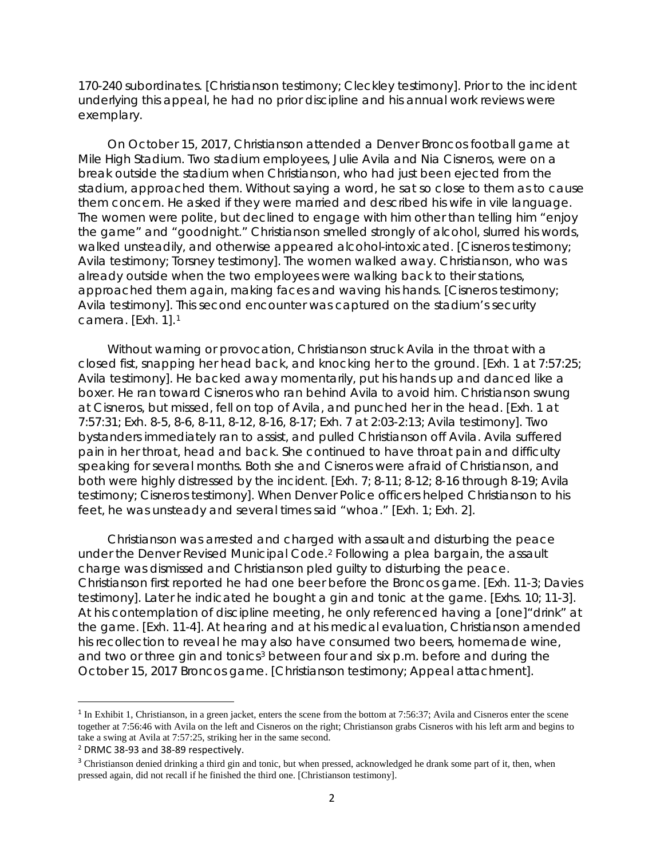170-240 subordinates. [Christianson testimony; Cleckley testimony]. Prior to the incident underlying this appeal, he had no prior discipline and his annual work reviews were exemplary.

On October 15, 2017, Christianson attended a Denver Broncos football game at Mile High Stadium. Two stadium employees, Julie Avila and Nia Cisneros, were on a break outside the stadium when Christianson, who had just been ejected from the stadium, approached them. Without saying a word, he sat so close to them as to cause them concern. He asked if they were married and described his wife in vile language. The women were polite, but declined to engage with him other than telling him "enjoy the game" and "goodnight." Christianson smelled strongly of alcohol, slurred his words, walked unsteadily, and otherwise appeared alcohol-intoxicated. [Cisneros testimony; Avila testimony; Torsney testimony]. The women walked away. Christianson, who was already outside when the two employees were walking back to their stations, approached them again, making faces and waving his hands. [Cisneros testimony; Avila testimony]. This second encounter was captured on the stadium's security camera. [Exh. 1].[1](#page-1-0)

Without warning or provocation, Christianson struck Avila in the throat with a closed fist, snapping her head back, and knocking her to the ground. [Exh. 1 at 7:57:25; Avila testimony]. He backed away momentarily, put his hands up and danced like a boxer. He ran toward Cisneros who ran behind Avila to avoid him. Christianson swung at Cisneros, but missed, fell on top of Avila, and punched her in the head. [Exh. 1 at 7:57:31; Exh. 8-5, 8-6, 8-11, 8-12, 8-16, 8-17; Exh. 7 at 2:03-2:13; Avila testimony]. Two bystanders immediately ran to assist, and pulled Christianson off Avila. Avila suffered pain in her throat, head and back. She continued to have throat pain and difficulty speaking for several months. Both she and Cisneros were afraid of Christianson, and both were highly distressed by the incident. [Exh. 7; 8-11; 8-12; 8-16 through 8-19; Avila testimony; Cisneros testimony]. When Denver Police officers helped Christianson to his feet, he was unsteady and several times said "whoa." [Exh. 1; Exh. 2].

Christianson was arrested and charged with assault and disturbing the peace under the Denver Revised Municipal Code.[2](#page-1-1) Following a plea bargain, the assault charge was dismissed and Christianson pled guilty to disturbing the peace. Christianson first reported he had one beer before the Broncos game. [Exh. 11-3; Davies testimony]. Later he indicated he bought a gin and tonic at the game. [Exhs. 10; 11-3]. At his contemplation of discipline meeting, he only referenced having a [one]"drink" at the game. [Exh. 11-4]. At hearing and at his medical evaluation, Christianson amended his recollection to reveal he may also have consumed two beers, homemade wine, and two or three gin and tonics<sup>3</sup> between four and six p.m. before and during the October 15, 2017 Broncos game. [Christianson testimony; Appeal attachment].

<span id="page-1-0"></span><sup>&</sup>lt;sup>1</sup> In Exhibit 1, Christianson, in a green jacket, enters the scene from the bottom at 7:56:37; Avila and Cisneros enter the scene together at 7:56:46 with Avila on the left and Cisneros on the right; Christianson grabs Cisneros with his left arm and begins to take a swing at Avila at 7:57:25, striking her in the same second.

<span id="page-1-2"></span><span id="page-1-1"></span><sup>&</sup>lt;sup>2</sup> DRMC 38-93 and 38-89 respectively.<br><sup>3</sup> Christianson denied drinking a third gin and tonic, but when pressed, acknowledged he drank some part of it, then, when pressed again, did not recall if he finished the third one. [Christianson testimony].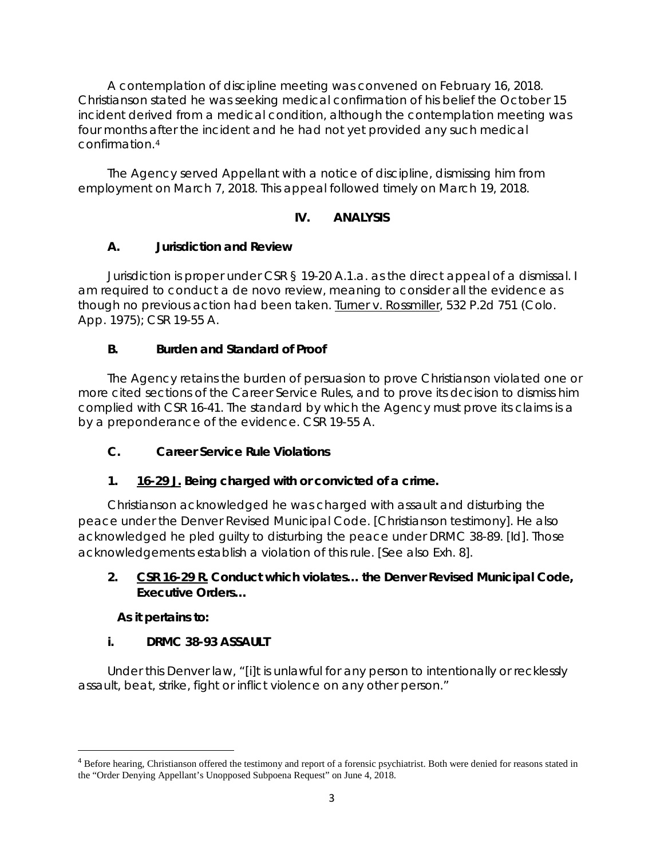A contemplation of discipline meeting was convened on February 16, 2018. Christianson stated he was seeking medical confirmation of his belief the October 15 incident derived from a medical condition, although the contemplation meeting was four months after the incident and he had not yet provided any such medical confirmation.[4](#page-2-0)

The Agency served Appellant with a notice of discipline, dismissing him from employment on March 7, 2018. This appeal followed timely on March 19, 2018.

# **IV. ANALYSIS**

# **A. Jurisdiction and Review**

Jurisdiction is proper under CSR § 19-20 A.1.a. as the direct appeal of a dismissal. I am required to conduct a *de novo* review, meaning to consider all the evidence as though no previous action had been taken. Turner v. Rossmiller, 532 P.2d 751 (Colo. App. 1975); CSR 19-55 A.

# **B. Burden and Standard of Proof**

The Agency retains the burden of persuasion to prove Christianson violated one or more cited sections of the Career Service Rules, and to prove its decision to dismiss him complied with CSR 16-41. The standard by which the Agency must prove its claims is a by a preponderance of the evidence. CSR 19-55 A.

# **C. Career Service Rule Violations**

# **1. 16-29 J. Being charged with or convicted of a crime.**

Christianson acknowledged he was charged with assault and disturbing the peace under the Denver Revised Municipal Code. [Christianson testimony]. He also acknowledged he pled guilty to disturbing the peace under DRMC 38-89. [*Id*]. Those acknowledgements establish a violation of this rule. [*See also* Exh. 8].

### **2. CSR 16-29 R. Conduct which violates… the Denver Revised Municipal Code, Executive Orders…**

### **As it pertains to:**

### **i. DRMC 38-93 ASSAULT**

Under this Denver law, "[i]t is unlawful for any person to intentionally or recklessly assault, beat, strike, fight or inflict violence on any other person."

<span id="page-2-0"></span> <sup>4</sup> Before hearing, Christianson offered the testimony and report of a forensic psychiatrist. Both were denied for reasons stated in the "Order Denying Appellant's Unopposed Subpoena Request" on June 4, 2018.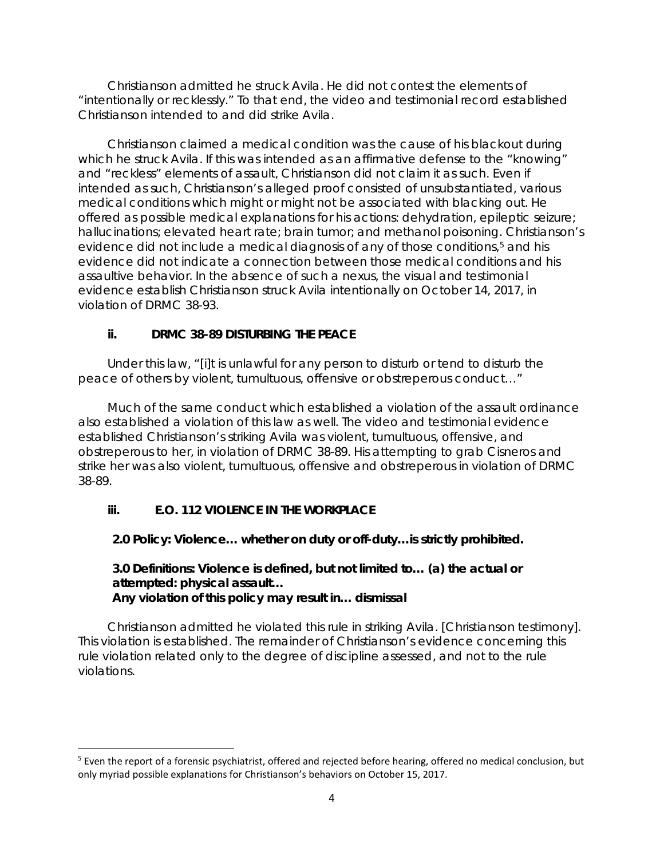Christianson admitted he struck Avila. He did not contest the elements of "intentionally or recklessly." To that end, the video and testimonial record established Christianson intended to and did strike Avila.

Christianson claimed a medical condition was the cause of his blackout during which he struck Avila. If this was intended as an affirmative defense to the "knowing" and "reckless" elements of assault, Christianson did not claim it as such. Even if intended as such, Christianson's alleged proof consisted of unsubstantiated, various medical conditions which might or might not be associated with blacking out. He offered as possible medical explanations for his actions: dehydration, epileptic seizure; hallucinations; elevated heart rate; brain tumor; and methanol poisoning. Christianson's evidence did not include a medical diagnosis of any of those conditions,<sup>[5](#page-3-0)</sup> and his evidence did not indicate a connection between those medical conditions and his assaultive behavior. In the absence of such a nexus, the visual and testimonial evidence establish Christianson struck Avila intentionally on October 14, 2017, in violation of DRMC 38-93.

### **ii. DRMC 38-89 DISTURBING THE PEACE**

Under this law, "[i]t is unlawful for any person to disturb or tend to disturb the peace of others by violent, tumultuous, offensive or obstreperous conduct…"

Much of the same conduct which established a violation of the assault ordinance also established a violation of this law as well. The video and testimonial evidence established Christianson's striking Avila was violent, tumultuous, offensive, and obstreperous to her, in violation of DRMC 38-89. His attempting to grab Cisneros and strike her was also violent, tumultuous, offensive and obstreperous in violation of DRMC 38-89.

# **iii. E.O. 112 VIOLENCE IN THE WORKPLACE**

**2.0 Policy: Violence… whether on duty or off-duty…is strictly prohibited.**

#### **3.0 Definitions: Violence is defined, but not limited to… (a) the actual or attempted: physical assault… Any violation of this policy may result in… dismissal**

Christianson admitted he violated this rule in striking Avila. [Christianson testimony]. This violation is established. The remainder of Christianson's evidence concerning this rule violation related only to the degree of discipline assessed, and not to the rule violations.

<span id="page-3-0"></span><sup>&</sup>lt;sup>5</sup> Even the report of a forensic psychiatrist, offered and rejected before hearing, offered no medical conclusion, but only myriad possible explanations for Christianson's behaviors on October 15, 2017.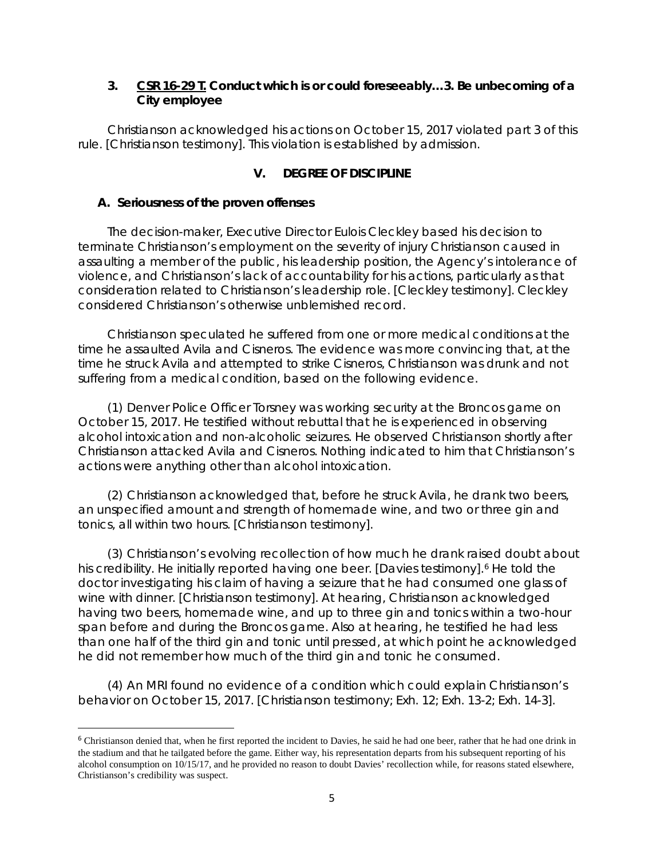#### **3. CSR 16-29 T. Conduct which is or could foreseeably…3. Be unbecoming of a City employee**

Christianson acknowledged his actions on October 15, 2017 violated part 3 of this rule. [Christianson testimony]. This violation is established by admission.

#### **V. DEGREE OF DISCIPLINE**

#### **A. Seriousness of the proven offenses**

The decision-maker, Executive Director Eulois Cleckley based his decision to terminate Christianson's employment on the severity of injury Christianson caused in assaulting a member of the public, his leadership position, the Agency's intolerance of violence, and Christianson's lack of accountability for his actions, particularly as that consideration related to Christianson's leadership role. [Cleckley testimony]. Cleckley considered Christianson's otherwise unblemished record.

Christianson speculated he suffered from one or more medical conditions at the time he assaulted Avila and Cisneros. The evidence was more convincing that, at the time he struck Avila and attempted to strike Cisneros, Christianson was drunk and not suffering from a medical condition, based on the following evidence.

(1) Denver Police Officer Torsney was working security at the Broncos game on October 15, 2017. He testified without rebuttal that he is experienced in observing alcohol intoxication and non-alcoholic seizures. He observed Christianson shortly after Christianson attacked Avila and Cisneros. Nothing indicated to him that Christianson's actions were anything other than alcohol intoxication.

(2) Christianson acknowledged that, before he struck Avila, he drank two beers, an unspecified amount and strength of homemade wine, and two or three gin and tonics, all within two hours. [Christianson testimony].

(3) Christianson's evolving recollection of how much he drank raised doubt about his credibility. He initially reported having one beer. [Davies testimony].<sup>[6](#page-4-0)</sup> He told the doctor investigating his claim of having a seizure that he had consumed one glass of wine with dinner. [Christianson testimony]. At hearing, Christianson acknowledged having two beers, homemade wine, and up to three gin and tonics within a two-hour span before and during the Broncos game. Also at hearing, he testified he had less than one half of the third gin and tonic until pressed, at which point he acknowledged he did not remember how much of the third gin and tonic he consumed.

(4) An MRI found no evidence of a condition which could explain Christianson's behavior on October 15, 2017. [Christianson testimony; Exh. 12; Exh. 13-2; Exh. 14-3].

<span id="page-4-0"></span><sup>&</sup>lt;sup>6</sup> Christianson denied that, when he first reported the incident to Davies, he said he had one beer, rather that he had one drink in the stadium and that he tailgated before the game. Either way, his representation departs from his subsequent reporting of his alcohol consumption on 10/15/17, and he provided no reason to doubt Davies' recollection while, for reasons stated elsewhere, Christianson's credibility was suspect.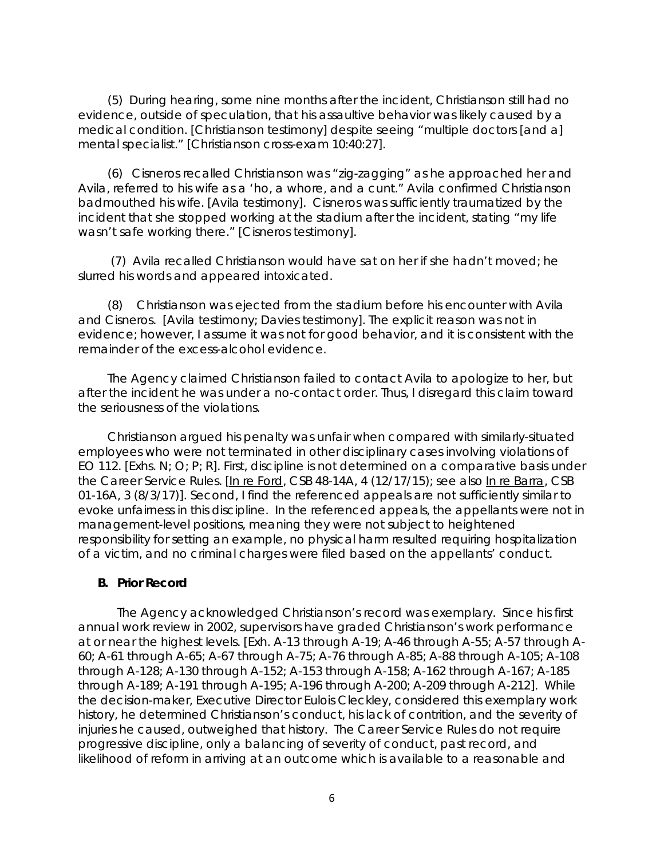(5) During hearing, some nine months after the incident, Christianson still had no evidence, outside of speculation, that his assaultive behavior was likely caused by a medical condition. [Christianson testimony] despite seeing "multiple doctors [and a] mental specialist." [Christianson cross-exam 10:40:27].

(6) Cisneros recalled Christianson was "zig-zagging" as he approached her and Avila, referred to his wife as a 'ho, a whore, and a cunt." Avila confirmed Christianson badmouthed his wife. [Avila testimony]. Cisneros was sufficiently traumatized by the incident that she stopped working at the stadium after the incident, stating "my life wasn't safe working there." [Cisneros testimony].

(7) Avila recalled Christianson would have sat on her if she hadn't moved; he slurred his words and appeared intoxicated.

(8) Christianson was ejected from the stadium before his encounter with Avila and Cisneros. [Avila testimony; Davies testimony]. The explicit reason was not in evidence; however, I assume it was not for good behavior, and it is consistent with the remainder of the excess-alcohol evidence.

The Agency claimed Christianson failed to contact Avila to apologize to her, but after the incident he was under a no-contact order. Thus, I disregard this claim toward the seriousness of the violations.

Christianson argued his penalty was unfair when compared with similarly-situated employees who were not terminated in other disciplinary cases involving violations of EO 112. [Exhs. N; O; P; R]. First, discipline is not determined on a comparative basis under the Career Service Rules. [In re Ford, CSB 48-14A, 4 (12/17/15); *see also* In re Barra, CSB 01-16A, 3 (8/3/17)]. Second, I find the referenced appeals are not sufficiently similar to evoke unfairness in this discipline. In the referenced appeals, the appellants were not in management-level positions, meaning they were not subject to heightened responsibility for setting an example, no physical harm resulted requiring hospitalization of a victim, and no criminal charges were filed based on the appellants' conduct.

#### **B. Prior Record**

The Agency acknowledged Christianson's record was exemplary. Since his first annual work review in 2002, supervisors have graded Christianson's work performance at or near the highest levels. [Exh. A-13 through A-19; A-46 through A-55; A-57 through A-60; A-61 through A-65; A-67 through A-75; A-76 through A-85; A-88 through A-105; A-108 through A-128; A-130 through A-152; A-153 through A-158; A-162 through A-167; A-185 through A-189; A-191 through A-195; A-196 through A-200; A-209 through A-212]. While the decision-maker, Executive Director Eulois Cleckley, considered this exemplary work history, he determined Christianson's conduct, his lack of contrition, and the severity of injuries he caused, outweighed that history. The Career Service Rules do not require progressive discipline, only a balancing of severity of conduct, past record, and likelihood of reform in arriving at an outcome which is available to a reasonable and